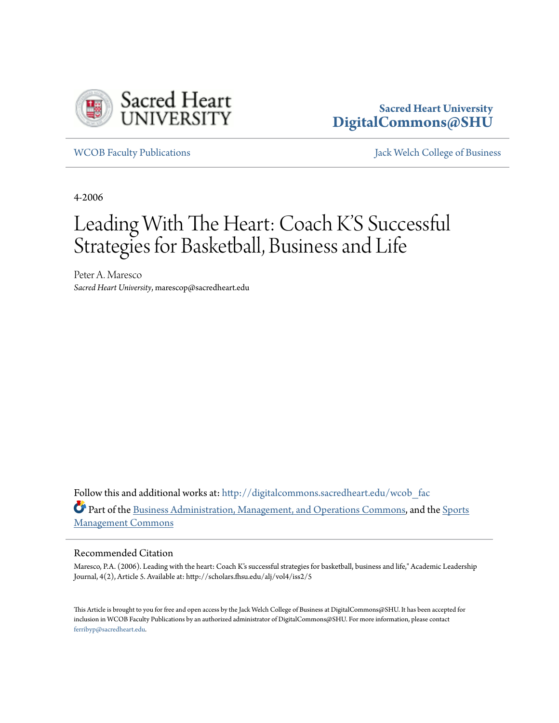

#### **Sacred Heart University [DigitalCommons@SHU](http://digitalcommons.sacredheart.edu?utm_source=digitalcommons.sacredheart.edu%2Fwcob_fac%2F448&utm_medium=PDF&utm_campaign=PDFCoverPages)**

[WCOB Faculty Publications](http://digitalcommons.sacredheart.edu/wcob_fac?utm_source=digitalcommons.sacredheart.edu%2Fwcob_fac%2F448&utm_medium=PDF&utm_campaign=PDFCoverPages) [Jack Welch College of Business](http://digitalcommons.sacredheart.edu/wcob?utm_source=digitalcommons.sacredheart.edu%2Fwcob_fac%2F448&utm_medium=PDF&utm_campaign=PDFCoverPages)

4-2006

# Leading With The Heart: Coach K'S Successful Strategies for Basketball, Business and Life

Peter A. Maresco *Sacred Heart University*, marescop@sacredheart.edu

Follow this and additional works at: [http://digitalcommons.sacredheart.edu/wcob\\_fac](http://digitalcommons.sacredheart.edu/wcob_fac?utm_source=digitalcommons.sacredheart.edu%2Fwcob_fac%2F448&utm_medium=PDF&utm_campaign=PDFCoverPages) Part of the [Business Administration, Management, and Operations Commons](http://network.bepress.com/hgg/discipline/623?utm_source=digitalcommons.sacredheart.edu%2Fwcob_fac%2F448&utm_medium=PDF&utm_campaign=PDFCoverPages), and the [Sports](http://network.bepress.com/hgg/discipline/1193?utm_source=digitalcommons.sacredheart.edu%2Fwcob_fac%2F448&utm_medium=PDF&utm_campaign=PDFCoverPages) [Management Commons](http://network.bepress.com/hgg/discipline/1193?utm_source=digitalcommons.sacredheart.edu%2Fwcob_fac%2F448&utm_medium=PDF&utm_campaign=PDFCoverPages)

#### Recommended Citation

Maresco, P.A. (2006). Leading with the heart: Coach K's successful strategies for basketball, business and life," Academic Leadership Journal, 4(2), Article 5. Available at: http://scholars.fhsu.edu/alj/vol4/iss2/5

This Article is brought to you for free and open access by the Jack Welch College of Business at DigitalCommons@SHU. It has been accepted for inclusion in WCOB Faculty Publications by an authorized administrator of DigitalCommons@SHU. For more information, please contact [ferribyp@sacredheart.edu](mailto:ferribyp@sacredheart.edu).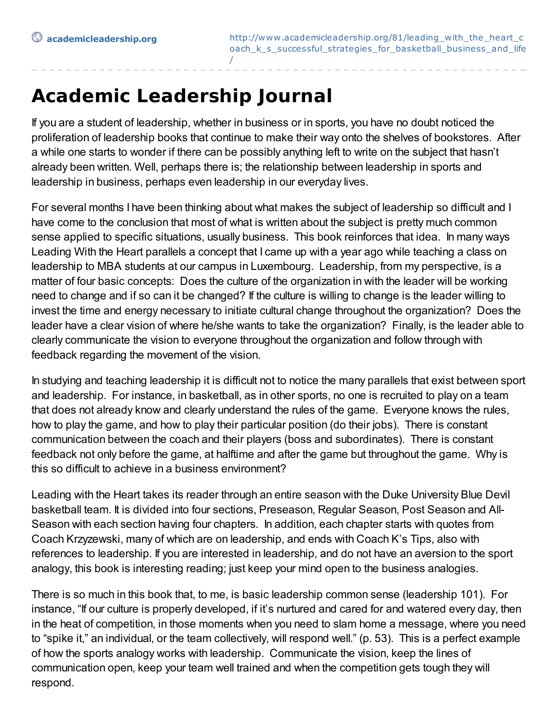## **Academic Leadership Journal**

If you are a student of leadership, whether in business or in sports, you have no doubt noticed the proliferation of leadership books that continue to make their way onto the shelves of bookstores. After a while one starts to wonder if there can be possibly anything left to write on the subject that hasn't already been written. Well, perhaps there is; the relationship between leadership in sports and leadership in business, perhaps even leadership in our everyday lives.

For several months I have been thinking about what makes the subject of leadership so difficult and I have come to the conclusion that most of what is written about the subject is pretty much common sense applied to specific situations, usually business. This book reinforces that idea. In many ways Leading With the Heart parallels a concept that I came up with a year ago while teaching a class on leadership to MBA students at our campus in Luxembourg. Leadership, from my perspective, is a matter of four basic concepts: Does the culture of the organization in with the leader will be working need to change and if so can it be changed? If the culture is willing to change is the leader willing to invest the time and energy necessary to initiate cultural change throughout the organization? Does the leader have a clear vision of where he/she wants to take the organization? Finally, is the leader able to clearly communicate the vision to everyone throughout the organization and follow through with feedback regarding the movement of the vision.

In studying and teaching leadership it is difficult not to notice the many parallels that exist between sport and leadership. For instance, in basketball, as in other sports, no one is recruited to play on a team that does not already know and clearly understand the rules of the game. Everyone knows the rules, how to play the game, and how to play their particular position (do their jobs). There is constant communication between the coach and their players (boss and subordinates). There is constant feedback not only before the game, at halftime and after the game but throughout the game. Why is this so difficult to achieve in a business environment?

Leading with the Heart takes its reader through an entire season with the Duke University Blue Devil basketball team. It is divided into four sections, Preseason, Regular Season, Post Season and All-Season with each section having four chapters. In addition, each chapter starts with quotes from Coach Krzyzewski, many of which are on leadership, and ends with Coach K's Tips, also with references to leadership. If you are interested in leadership, and do not have an aversion to the sport analogy, this book is interesting reading; just keep your mind open to the business analogies.

There is so much in this book that, to me, is basic leadership common sense (leadership 101). For instance, "If our culture is properly developed, if it's nurtured and cared for and watered every day, then in the heat of competition, in those moments when you need to slam home a message, where you need to "spike it," an individual, or the team collectively, will respond well." (p. 53). This is a perfect example of how the sports analogy works with leadership. Communicate the vision, keep the lines of communication open, keep your team well trained and when the competition gets tough they will respond.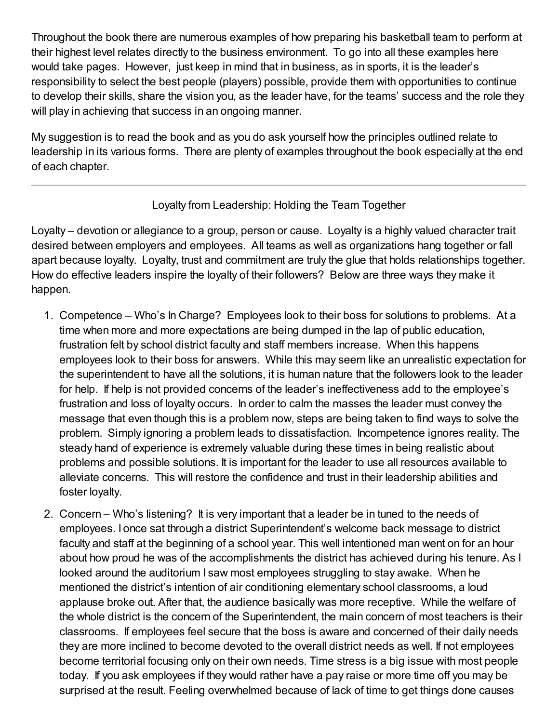Throughout the book there are numerous examples of how preparing his basketball team to perform at their highest level relates directly to the business environment. To go into all these examples here would take pages. However, just keep in mind that in business, as in sports, it is the leader's responsibility to select the best people (players) possible, provide them with opportunities to continue to develop their skills, share the vision you, as the leader have, for the teams' success and the role they will play in achieving that success in an ongoing manner.

My suggestion is to read the book and as you do ask yourself how the principles outlined relate to leadership in its various forms. There are plenty of examples throughout the book especially at the end of each chapter.

#### Loyalty from Leadership: Holding the Team Together

Loyalty – devotion or allegiance to a group, person or cause. Loyalty is a highly valued character trait desired between employers and employees. All teams as well as organizations hang together or fall apart because loyalty. Loyalty, trust and commitment are truly the glue that holds relationships together. How do effective leaders inspire the loyalty of their followers? Below are three ways they make it happen.

- 1. Competence Who's In Charge? Employees look to their boss for solutions to problems. At a time when more and more expectations are being dumped in the lap of public education, frustration felt by school district faculty and staff members increase. When this happens employees look to their boss for answers. While this may seem like an unrealistic expectation for the superintendent to have all the solutions, it is human nature that the followers look to the leader for help. If help is not provided concerns of the leader's ineffectiveness add to the employee's frustration and loss of loyalty occurs. In order to calm the masses the leader must convey the message that even though this is a problem now, steps are being taken to find ways to solve the problem. Simply ignoring a problem leads to dissatisfaction. Incompetence ignores reality. The steady hand of experience is extremely valuable during these times in being realistic about problems and possible solutions. It is important for the leader to use all resources available to alleviate concerns. This will restore the confidence and trust in their leadership abilities and foster loyalty.
- 2. Concern Who's listening? It is very important that a leader be in tuned to the needs of employees. I once sat through a district Superintendent's welcome back message to district faculty and staff at the beginning of a school year. This well intentioned man went on for an hour about how proud he was of the accomplishments the district has achieved during his tenure. As I looked around the auditorium I saw most employees struggling to stay awake. When he mentioned the district's intention of air conditioning elementary school classrooms, a loud applause broke out. After that, the audience basically was more receptive. While the welfare of the whole district is the concern of the Superintendent, the main concern of most teachers is their classrooms. If employees feel secure that the boss is aware and concerned of their daily needs they are more inclined to become devoted to the overall district needs as well. If not employees become territorial focusing only on their own needs. Time stress is a big issue with most people today. If you ask employees if they would rather have a pay raise or more time off you may be surprised at the result. Feeling overwhelmed because of lack of time to get things done causes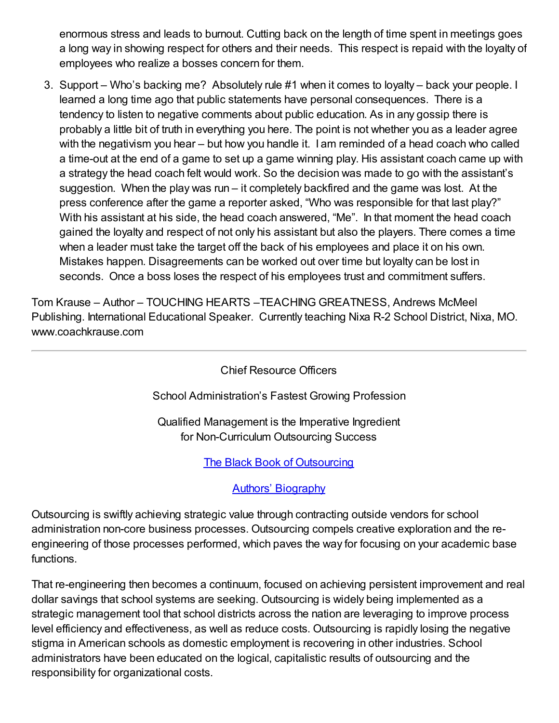enormous stress and leads to burnout. Cutting back on the length of time spent in meetings goes a long way in showing respect for others and their needs. This respect is repaid with the loyalty of employees who realize a bosses concern for them.

3. Support – Who's backing me? Absolutely rule #1 when it comes to loyalty – back your people. I learned a long time ago that public statements have personal consequences. There is a tendency to listen to negative comments about public education. As in any gossip there is probably a little bit of truth in everything you here. The point is not whether you as a leader agree with the negativism you hear – but how you handle it. I am reminded of a head coach who called a time-out at the end of a game to set up a game winning play. His assistant coach came up with a strategy the head coach felt would work. So the decision was made to go with the assistant's suggestion. When the play was run – it completely backfired and the game was lost. At the press conference after the game a reporter asked, "Who was responsible for that last play?" With his assistant at his side, the head coach answered, "Me". In that moment the head coach gained the loyalty and respect of not only his assistant but also the players. There comes a time when a leader must take the target off the back of his employees and place it on his own. Mistakes happen. Disagreements can be worked out over time but loyalty can be lost in seconds. Once a boss loses the respect of his employees trust and commitment suffers.

Tom Krause – Author – TOUCHING HEARTS –TEACHING GREATNESS, Andrews McMeel Publishing. International Educational Speaker. Currently teaching Nixa R-2 School District, Nixa, MO. www.coachkrause.com

Chief Resource Officers

School Administration's Fastest Growing Profession

Qualified Management is the Imperative Ingredient for Non-Curriculum Outsourcing Success

The Black Book of [Outsourcing](http://www.academicleadership.org/admin/nodes/edit/blackbook)

#### Authors' [Biography](http://www.academicleadership.org/admin/nodes/edit/bio.pdf)

Outsourcing is swiftly achieving strategic value through contracting outside vendors for school administration non-core business processes. Outsourcing compels creative exploration and the reengineering of those processes performed, which paves the way for focusing on your academic base functions.

That re-engineering then becomes a continuum, focused on achieving persistent improvement and real dollar savings that school systems are seeking. Outsourcing is widely being implemented as a strategic management tool that school districts across the nation are leveraging to improve process level efficiency and effectiveness, as well as reduce costs. Outsourcing is rapidly losing the negative stigma in American schools as domestic employment is recovering in other industries. School administrators have been educated on the logical, capitalistic results of outsourcing and the responsibility for organizational costs.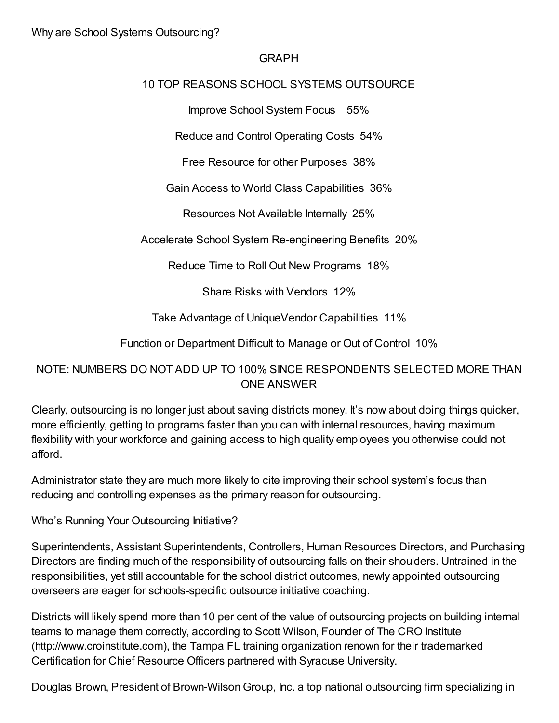#### GRAPH

#### 10 TOP REASONS SCHOOL SYSTEMS OUTSOURCE

Improve School System Focus 55%

Reduce and Control Operating Costs 54%

Free Resource for other Purposes 38%

Gain Access to World Class Capabilities 36%

Resources Not Available Internally 25%

Accelerate School System Re-engineering Benefits 20%

Reduce Time to Roll Out New Programs 18%

Share Risks with Vendors 12%

Take Advantage of UniqueVendor Capabilities 11%

Function or Department Difficult to Manage or Out of Control 10%

### NOTE: NUMBERS DO NOT ADD UP TO 100% SINCE RESPONDENTS SELECTED MORE THAN ONE ANSWER

Clearly, outsourcing is no longer just about saving districts money. It's now about doing things quicker, more efficiently, getting to programs faster than you can with internal resources, having maximum flexibility with your workforce and gaining access to high quality employees you otherwise could not afford.

Administrator state they are much more likely to cite improving their school system's focus than reducing and controlling expenses as the primary reason for outsourcing.

Who's Running Your Outsourcing Initiative?

Superintendents, Assistant Superintendents, Controllers, Human Resources Directors, and Purchasing Directors are finding much of the responsibility of outsourcing falls on their shoulders. Untrained in the responsibilities, yet still accountable for the school district outcomes, newly appointed outsourcing overseers are eager for schools-specific outsource initiative coaching.

Districts will likely spend more than 10 per cent of the value of outsourcing projects on building internal teams to manage them correctly, according to Scott Wilson, Founder of The CRO Institute (http://www.croinstitute.com), the Tampa FL training organization renown for their trademarked Certification for Chief Resource Officers partnered with Syracuse University.

Douglas Brown, President of Brown-Wilson Group, Inc. a top national outsourcing firm specializing in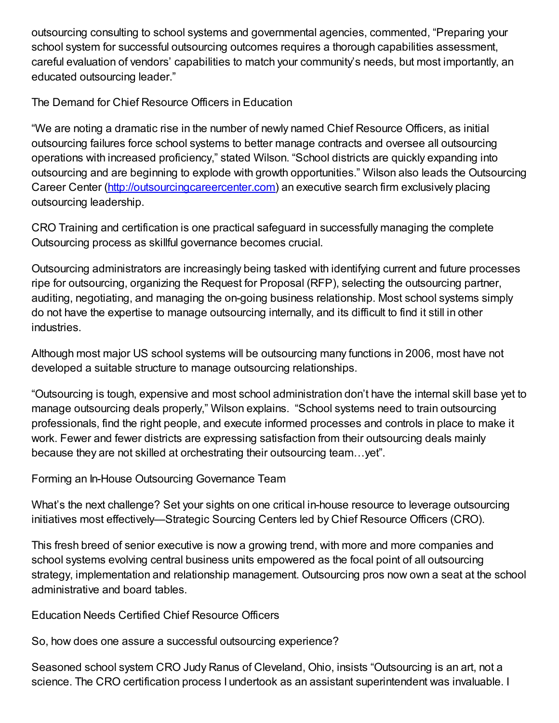outsourcing consulting to school systems and governmental agencies, commented, "Preparing your school system for successful outsourcing outcomes requires a thorough capabilities assessment, careful evaluation of vendors' capabilities to match your community's needs, but most importantly, an educated outsourcing leader."

The Demand for Chief Resource Officers in Education

"We are noting a dramatic rise in the number of newly named Chief Resource Officers, as initial outsourcing failures force school systems to better manage contracts and oversee all outsourcing operations with increased proficiency," stated Wilson. "School districts are quickly expanding into outsourcing and are beginning to explode with growth opportunities." Wilson also leads the Outsourcing Career Center [\(http://outsourcingcareercenter.com](http://outsourcingcareercenter.com/)) an executive search firm exclusively placing outsourcing leadership.

CRO Training and certification is one practical safeguard in successfully managing the complete Outsourcing process as skillful governance becomes crucial.

Outsourcing administrators are increasingly being tasked with identifying current and future processes ripe for outsourcing, organizing the Request for Proposal (RFP), selecting the outsourcing partner, auditing, negotiating, and managing the on-going business relationship. Most school systems simply do not have the expertise to manage outsourcing internally, and its difficult to find it still in other industries.

Although most major US school systems will be outsourcing many functions in 2006, most have not developed a suitable structure to manage outsourcing relationships.

"Outsourcing is tough, expensive and most school administration don't have the internal skill base yet to manage outsourcing deals properly," Wilson explains. "School systems need to train outsourcing professionals, find the right people, and execute informed processes and controls in place to make it work. Fewer and fewer districts are expressing satisfaction from their outsourcing deals mainly because they are not skilled at orchestrating their outsourcing team…yet".

Forming an In-House Outsourcing Governance Team

What's the next challenge? Set your sights on one critical in-house resource to leverage outsourcing initiatives most effectively—Strategic Sourcing Centers led by Chief Resource Officers (CRO).

This fresh breed of senior executive is now a growing trend, with more and more companies and school systems evolving central business units empowered as the focal point of all outsourcing strategy, implementation and relationship management. Outsourcing pros now own a seat at the school administrative and board tables.

Education Needs Certified Chief Resource Officers

So, how does one assure a successful outsourcing experience?

Seasoned school system CRO Judy Ranus of Cleveland, Ohio, insists "Outsourcing is an art, not a science. The CRO certification process I undertook as an assistant superintendent was invaluable. I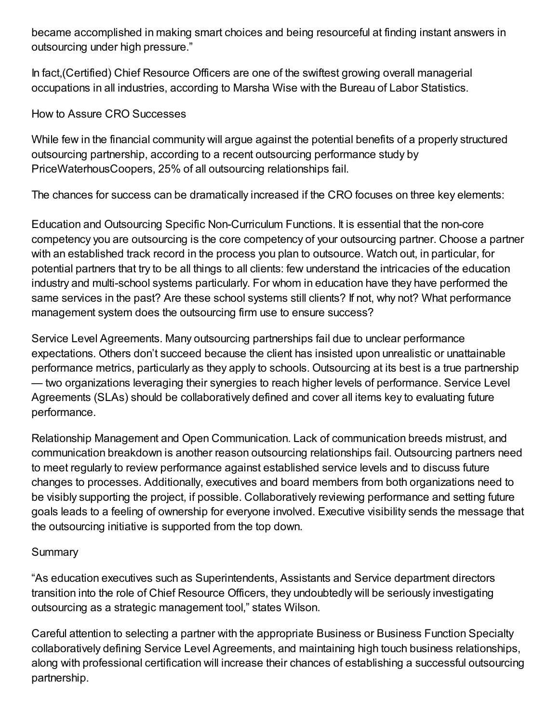became accomplished in making smart choices and being resourceful at finding instant answers in outsourcing under high pressure."

In fact,(Certified) Chief Resource Officers are one of the swiftest growing overall managerial occupations in all industries, according to Marsha Wise with the Bureau of Labor Statistics.

#### How to Assure CRO Successes

While few in the financial community will argue against the potential benefits of a properly structured outsourcing partnership, according to a recent outsourcing performance study by PriceWaterhousCoopers, 25% of all outsourcing relationships fail.

The chances for success can be dramatically increased if the CRO focuses on three key elements:

Education and Outsourcing Specific Non-Curriculum Functions. It is essential that the non-core competency you are outsourcing is the core competency of your outsourcing partner. Choose a partner with an established track record in the process you plan to outsource. Watch out, in particular, for potential partners that try to be all things to all clients: few understand the intricacies of the education industry and multi-school systems particularly. For whom in education have they have performed the same services in the past? Are these school systems still clients? If not, why not? What performance management system does the outsourcing firm use to ensure success?

Service Level Agreements. Many outsourcing partnerships fail due to unclear performance expectations. Others don't succeed because the client has insisted upon unrealistic or unattainable performance metrics, particularly as they apply to schools. Outsourcing at its best is a true partnership — two organizations leveraging their synergies to reach higher levels of performance. Service Level Agreements (SLAs) should be collaboratively defined and cover all items key to evaluating future performance.

Relationship Management and Open Communication. Lack of communication breeds mistrust, and communication breakdown is another reason outsourcing relationships fail. Outsourcing partners need to meet regularly to review performance against established service levels and to discuss future changes to processes. Additionally, executives and board members from both organizations need to be visibly supporting the project, if possible. Collaboratively reviewing performance and setting future goals leads to a feeling of ownership for everyone involved. Executive visibility sends the message that the outsourcing initiative is supported from the top down.

#### **Summary**

"As education executives such as Superintendents, Assistants and Service department directors transition into the role of Chief Resource Officers, they undoubtedly will be seriously investigating outsourcing as a strategic management tool," states Wilson.

Careful attention to selecting a partner with the appropriate Business or Business Function Specialty collaboratively defining Service Level Agreements, and maintaining high touch business relationships, along with professional certification will increase their chances of establishing a successful outsourcing partnership.